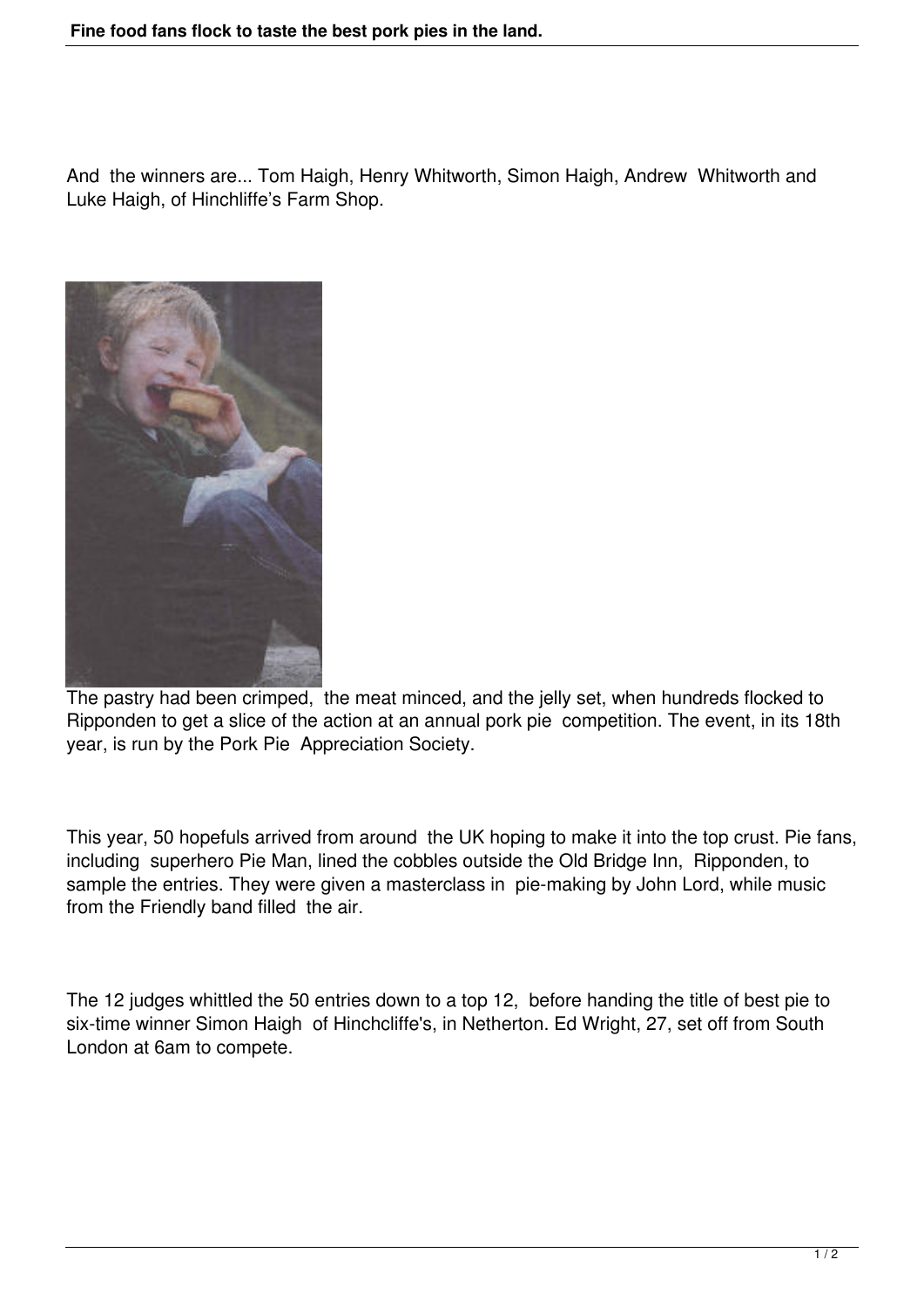And the winners are... Tom Haigh, Henry Whitworth, Simon Haigh, Andrew Whitworth and Luke Haigh, of Hinchliffe's Farm Shop.



The pastry had been crimped, the meat minced, and the jelly set, when hundreds flocked to Ripponden to get a slice of the action at an annual pork pie competition. The event, in its 18th year, is run by the Pork Pie Appreciation Society.

This year, 50 hopefuls arrived from around the UK hoping to make it into the top crust. Pie fans, including superhero Pie Man, lined the cobbles outside the Old Bridge Inn, Ripponden, to sample the entries. They were given a masterclass in pie-making by John Lord, while music from the Friendly band filled the air.

The 12 judges whittled the 50 entries down to a top 12, before handing the title of best pie to six-time winner Simon Haigh of Hinchcliffe's, in Netherton. Ed Wright, 27, set off from South London at 6am to compete.